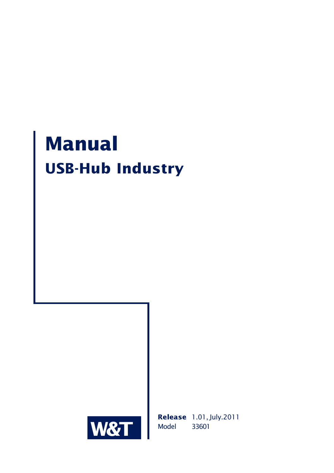# **Manual USB-Hub Industry**



**Release** 1.01, July.2011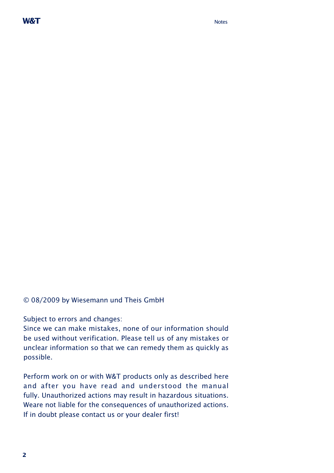© 08/2009 by Wiesemann und Theis GmbH

Subject to errors and changes:

Since we can make mistakes, none of our information should be used without verification. Please tell us of any mistakes or unclear information so that we can remedy them as quickly as possible.

Perform work on or with W&T products only as described here and after you have read and understood the manual fully. Unauthorized actions may result in hazardous situations. Weare not liable for the consequences of unauthorized actions. If in doubt please contact us or your dealer first!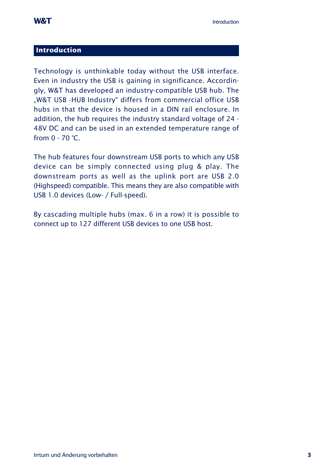#### <span id="page-2-0"></span>**Introduction**

Technology is unthinkable today without the USB interface. Even in industry the USB is gaining in significance. Accordingly, W&T has developed an industry-compatible USB hub. The "W&T USB -HUB Industry" differs from commercial office USB hubs in that the device is housed in a DIN rail enclosure. In addition, the hub requires the industry standard voltage of 24 - 48V DC and can be used in an extended temperature range of from 0 - 70 °C.

The hub features four downstream USB ports to which any USB device can be simply connected using plug & play. The downstream ports as well as the uplink port are USB 2.0 (Highspeed) compatible. This means they are also compatible with USB 1.0 devices (Low- / Full-speed).

By cascading multiple hubs (max. 6 in a row) it is possible to connect up to 127 different USB devices to one USB host.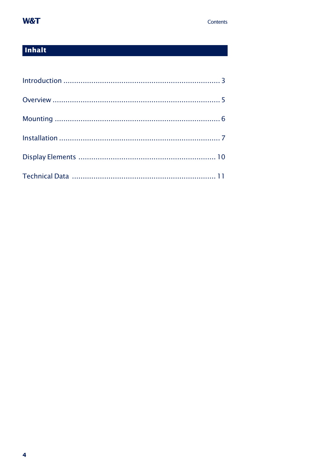## W&T

# Inhalt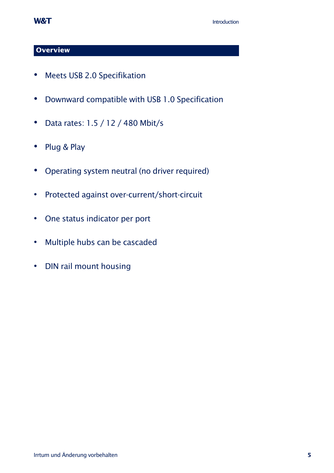## <span id="page-4-0"></span>**Overview**

- Meets USB 2.0 Specifikation
- Downward compatible with USB 1.0 Specification
- Data rates: 1.5 / 12 / 480 Mbit/s
- Plug & Play
- Operating system neutral (no driver required)
- Protected against over-current/short-circuit
- One status indicator per port
- Multiple hubs can be cascaded
- DIN rail mount housing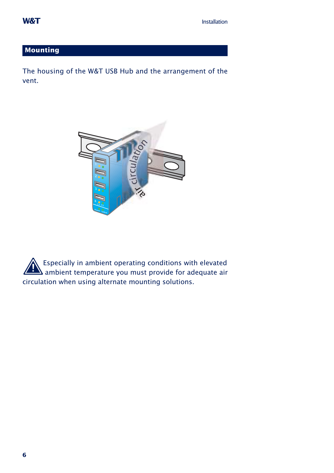#### <span id="page-5-0"></span>**Mounting**

The housing of the W&T USB Hub and the arrangement of the vent.



. Especially in ambient operating conditions with elevated  $\Delta$  ambient temperature you must provide for adequate air circulation when using alternate mounting solutions.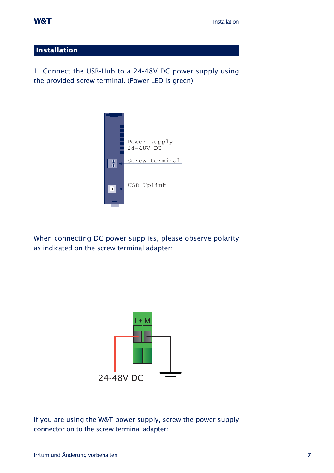#### <span id="page-6-0"></span>**Installation**

1. Connect the USB-Hub to a 24-48V DC power supply using the provided screw terminal. (Power LED is green)



When connecting DC power supplies, please observe polarity as indicated on the screw terminal adapter:



If you are using the W&T power supply, screw the power supply connector on to the screw terminal adapter: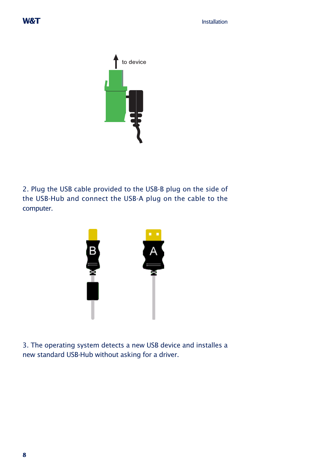

2. Plug the USB cable provided to the USB-B plug on the side of the USB-Hub and connect the USB-A plug on the cable to the computer.



3. The operating system detects a new USB device and installes a new standard USB-Hub without asking for a driver.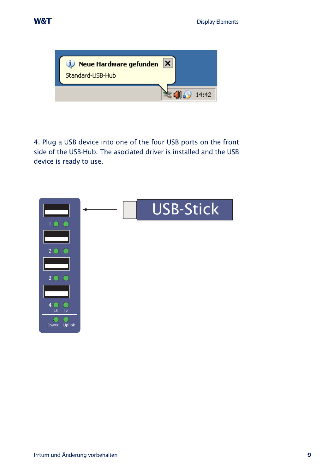



4. Plug a USB device into one of the four USB ports on the front side of the USB-Hub. The asociated driver is installed and the USB device is ready to use.

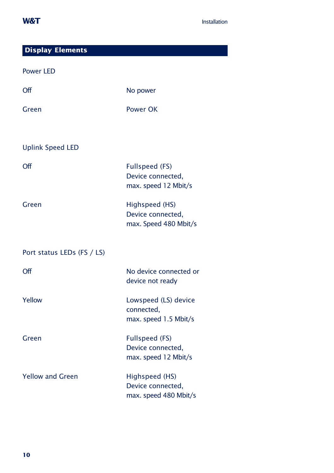<span id="page-9-0"></span>

| <b>Display Elements</b>    |                                                              |
|----------------------------|--------------------------------------------------------------|
| <b>Power LED</b>           |                                                              |
| Off                        | No power                                                     |
| Green                      | Power OK                                                     |
| <b>Uplink Speed LED</b>    |                                                              |
|                            |                                                              |
| Off                        | Fullspeed (FS)<br>Device connected,<br>max. speed 12 Mbit/s  |
| Green                      | Highspeed (HS)<br>Device connected,<br>max. Speed 480 Mbit/s |
| Port status LEDs (FS / LS) |                                                              |
| Off                        | No device connected or<br>device not ready                   |
| Yellow                     | Lowspeed (LS) device<br>connected,<br>max. speed 1.5 Mbit/s  |
| Green                      | Fullspeed (FS)<br>Device connected,<br>max. speed 12 Mbit/s  |
| <b>Yellow and Green</b>    | Highspeed (HS)<br>Device connected,<br>max. speed 480 Mbit/s |